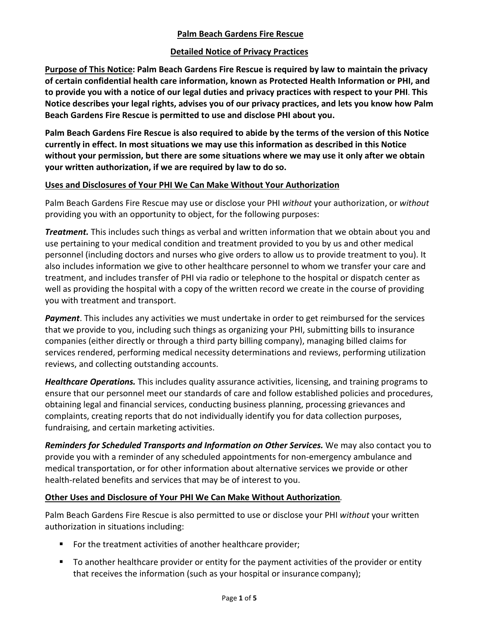# **Palm Beach Gardens Fire Rescue**

## **Detailed Notice of Privacy Practices**

**Purpose of This Notice: Palm Beach Gardens Fire Rescue is required by law to maintain the privacy of certain confidential health care information, known as Protected Health Information or PHI, and to provide you with a notice of our legal duties and privacy practices with respect to your PHI**. **This Notice describes your legal rights, advises you of our privacy practices, and lets you know how Palm Beach Gardens Fire Rescue is permitted to use and disclose PHI about you.**

**Palm Beach Gardens Fire Rescue is also required to abide by the terms of the version of this Notice currently in effect. In most situations we may use this information as described in this Notice without your permission, but there are some situations where we may use it only after we obtain your written authorization, if we are required by law to do so.**

#### **Uses and Disclosures of Your PHI We Can Make Without Your Authorization**

Palm Beach Gardens Fire Rescue may use or disclose your PHI *without* your authorization, or *without* providing you with an opportunity to object, for the following purposes:

*Treatment.* This includes such things as verbal and written information that we obtain about you and use pertaining to your medical condition and treatment provided to you by us and other medical personnel (including doctors and nurses who give orders to allow us to provide treatment to you). It also includes information we give to other healthcare personnel to whom we transfer your care and treatment, and includes transfer of PHI via radio or telephone to the hospital or dispatch center as well as providing the hospital with a copy of the written record we create in the course of providing you with treatment and transport.

*Payment*. This includes any activities we must undertake in order to get reimbursed for the services that we provide to you, including such things as organizing your PHI, submitting bills to insurance companies (either directly or through a third party billing company), managing billed claims for services rendered, performing medical necessity determinations and reviews, performing utilization reviews, and collecting outstanding accounts.

*Healthcare Operations.* This includes quality assurance activities, licensing, and training programs to ensure that our personnel meet our standards of care and follow established policies and procedures, obtaining legal and financial services, conducting business planning, processing grievances and complaints, creating reports that do not individually identify you for data collection purposes, fundraising, and certain marketing activities.

*Reminders for Scheduled Transports and Information on Other Services.* We may also contact you to provide you with a reminder of any scheduled appointments for non-emergency ambulance and medical transportation, or for other information about alternative services we provide or other health-related benefits and services that may be of interest to you.

## **Other Uses and Disclosure of Your PHI We Can Make Without Authorization***.*

Palm Beach Gardens Fire Rescue is also permitted to use or disclose your PHI *without* your written authorization in situations including:

- **For the treatment activities of another healthcare provider;**
- To another healthcare provider or entity for the payment activities of the provider or entity that receives the information (such as your hospital or insurance company);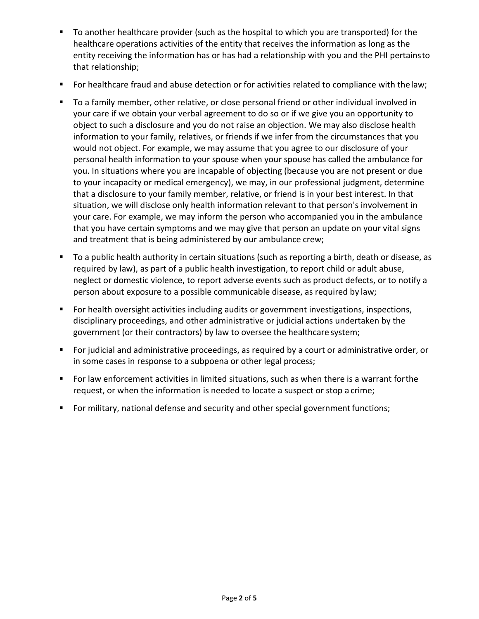- To another healthcare provider (such as the hospital to which you are transported) for the healthcare operations activities of the entity that receives the information as long as the entity receiving the information has or has had a relationship with you and the PHI pertainsto that relationship;
- For healthcare fraud and abuse detection or for activities related to compliance with the law;
- To a family member, other relative, or close personal friend or other individual involved in your care if we obtain your verbal agreement to do so or if we give you an opportunity to object to such a disclosure and you do not raise an objection. We may also disclose health information to your family, relatives, or friends if we infer from the circumstances that you would not object. For example, we may assume that you agree to our disclosure of your personal health information to your spouse when your spouse has called the ambulance for you. In situations where you are incapable of objecting (because you are not present or due to your incapacity or medical emergency), we may, in our professional judgment, determine that a disclosure to your family member, relative, or friend is in your best interest. In that situation, we will disclose only health information relevant to that person's involvement in your care. For example, we may inform the person who accompanied you in the ambulance that you have certain symptoms and we may give that person an update on your vital signs and treatment that is being administered by our ambulance crew;
- To a public health authority in certain situations (such as reporting a birth, death or disease, as required by law), as part of a public health investigation, to report child or adult abuse, neglect or domestic violence, to report adverse events such as product defects, or to notify a person about exposure to a possible communicable disease, as required by law;
- **For health oversight activities including audits or government investigations, inspections,** disciplinary proceedings, and other administrative or judicial actions undertaken by the government (or their contractors) by law to oversee the healthcare system;
- For judicial and administrative proceedings, as required by a court or administrative order, or in some cases in response to a subpoena or other legal process;
- For law enforcement activities in limited situations, such as when there is a warrant forthe request, or when the information is needed to locate a suspect or stop a crime;
- For military, national defense and security and other special government functions;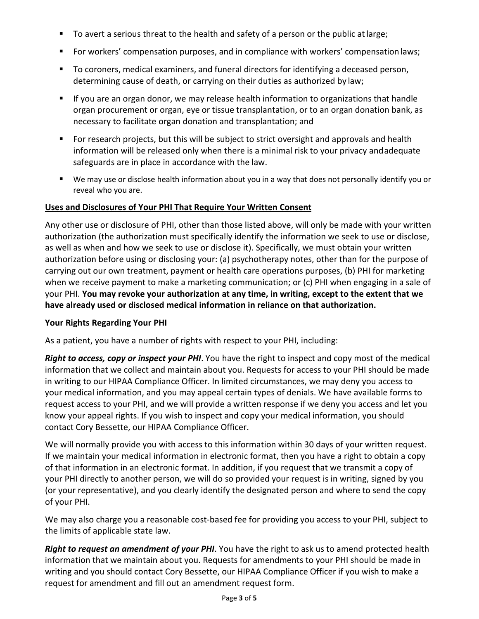- To avert a serious threat to the health and safety of a person or the public at large;
- For workers' compensation purposes, and in compliance with workers' compensation laws;
- To coroners, medical examiners, and funeral directors for identifying a deceased person, determining cause of death, or carrying on their duties as authorized by law;
- If you are an organ donor, we may release health information to organizations that handle organ procurement or organ, eye or tissue transplantation, or to an organ donation bank, as necessary to facilitate organ donation and transplantation; and
- For research projects, but this will be subject to strict oversight and approvals and health information will be released only when there is a minimal risk to your privacy andadequate safeguards are in place in accordance with the law.
- We may use or disclose health information about you in a way that does not personally identify you or reveal who you are.

## **Uses and Disclosures of Your PHI That Require Your Written Consent**

Any other use or disclosure of PHI, other than those listed above, will only be made with your written authorization (the authorization must specifically identify the information we seek to use or disclose, as well as when and how we seek to use or disclose it). Specifically, we must obtain your written authorization before using or disclosing your: (a) psychotherapy notes, other than for the purpose of carrying out our own treatment, payment or health care operations purposes, (b) PHI for marketing when we receive payment to make a marketing communication; or (c) PHI when engaging in a sale of your PHI. **You may revoke your authorization at any time, in writing, except to the extent that we have already used or disclosed medical information in reliance on that authorization.**

#### **Your Rights Regarding Your PHI**

As a patient, you have a number of rights with respect to your PHI, including:

*Right to access, copy or inspect your PHI*. You have the right to inspect and copy most of the medical information that we collect and maintain about you. Requests for access to your PHI should be made in writing to our HIPAA Compliance Officer. In limited circumstances, we may deny you access to your medical information, and you may appeal certain types of denials. We have available forms to request access to your PHI, and we will provide a written response if we deny you access and let you know your appeal rights. If you wish to inspect and copy your medical information, you should contact Cory Bessette, our HIPAA Compliance Officer.

We will normally provide you with access to this information within 30 days of your written request. If we maintain your medical information in electronic format, then you have a right to obtain a copy of that information in an electronic format. In addition, if you request that we transmit a copy of your PHI directly to another person, we will do so provided your request is in writing, signed by you (or your representative), and you clearly identify the designated person and where to send the copy of your PHI.

We may also charge you a reasonable cost-based fee for providing you access to your PHI, subject to the limits of applicable state law.

*Right to request an amendment of your PHI*. You have the right to ask us to amend protected health information that we maintain about you. Requests for amendments to your PHI should be made in writing and you should contact Cory Bessette, our HIPAA Compliance Officer if you wish to make a request for amendment and fill out an amendment request form.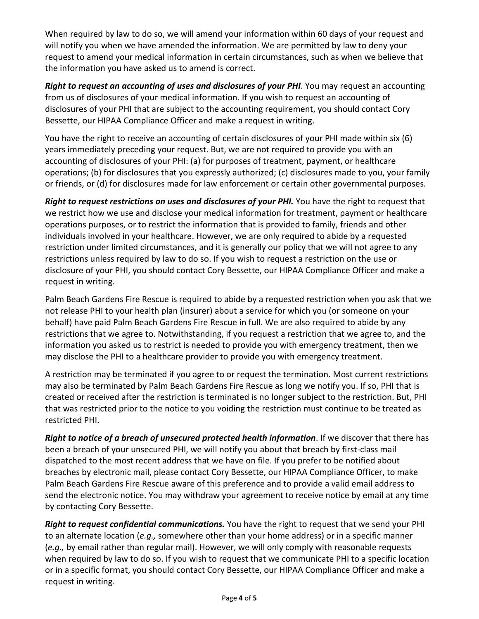When required by law to do so, we will amend your information within 60 days of your request and will notify you when we have amended the information. We are permitted by law to deny your request to amend your medical information in certain circumstances, such as when we believe that the information you have asked us to amend is correct.

*Right to request an accounting of uses and disclosures of your PHI*. You may request an accounting from us of disclosures of your medical information. If you wish to request an accounting of disclosures of your PHI that are subject to the accounting requirement, you should contact Cory Bessette, our HIPAA Compliance Officer and make a request in writing.

You have the right to receive an accounting of certain disclosures of your PHI made within six (6) years immediately preceding your request. But, we are not required to provide you with an accounting of disclosures of your PHI: (a) for purposes of treatment, payment, or healthcare operations; (b) for disclosures that you expressly authorized; (c) disclosures made to you, your family or friends, or (d) for disclosures made for law enforcement or certain other governmental purposes.

*Right to request restrictions on uses and disclosures of your PHI. You have the right to request that* we restrict how we use and disclose your medical information for treatment, payment or healthcare operations purposes, or to restrict the information that is provided to family, friends and other individuals involved in your healthcare. However, we are only required to abide by a requested restriction under limited circumstances, and it is generally our policy that we will not agree to any restrictions unless required by law to do so. If you wish to request a restriction on the use or disclosure of your PHI, you should contact Cory Bessette, our HIPAA Compliance Officer and make a request in writing.

Palm Beach Gardens Fire Rescue is required to abide by a requested restriction when you ask that we not release PHI to your health plan (insurer) about a service for which you (or someone on your behalf) have paid Palm Beach Gardens Fire Rescue in full. We are also required to abide by any restrictions that we agree to. Notwithstanding, if you request a restriction that we agree to, and the information you asked us to restrict is needed to provide you with emergency treatment, then we may disclose the PHI to a healthcare provider to provide you with emergency treatment.

A restriction may be terminated if you agree to or request the termination. Most current restrictions may also be terminated by Palm Beach Gardens Fire Rescue as long we notify you. If so, PHI that is created or received after the restriction is terminated is no longer subject to the restriction. But, PHI that was restricted prior to the notice to you voiding the restriction must continue to be treated as restricted PHI.

*Right to notice of a breach of unsecured protected health information*. If we discover that there has been a breach of your unsecured PHI, we will notify you about that breach by first-class mail dispatched to the most recent address that we have on file. If you prefer to be notified about breaches by electronic mail, please contact Cory Bessette, our HIPAA Compliance Officer, to make Palm Beach Gardens Fire Rescue aware of this preference and to provide a valid email address to send the electronic notice. You may withdraw your agreement to receive notice by email at any time by contacting Cory Bessette.

*Right to request confidential communications.* You have the right to request that we send your PHI to an alternate location (*e.g.,* somewhere other than your home address) or in a specific manner (*e.g.,* by email rather than regular mail). However, we will only comply with reasonable requests when required by law to do so. If you wish to request that we communicate PHI to a specific location or in a specific format, you should contact Cory Bessette, our HIPAA Compliance Officer and make a request in writing.